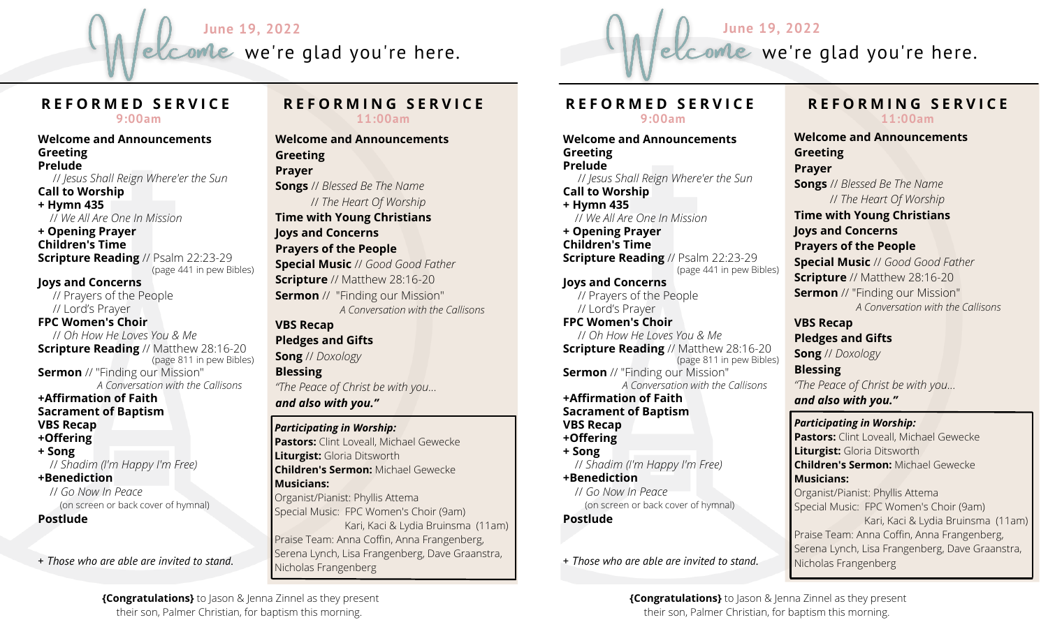



# **R E F O R M E D S E R V I C E**

**9:00am**

**Welcome and Announcements Greeting Prelude** // *Jesus Shall Reign Where'er the Sun* **Call to Worship + Hymn 435** // *We All Are One In Mission* **+ Opening Prayer Children's Time Scripture Reading** // Psalm 22:23-29 (page 441 in pew Bibles) **Joys and Concerns** // Prayers of the People // Lord's Prayer **FPC Women's Choir** // *Oh How He Loves You & Me* **Scripture Reading** // Matthew 28:16-20 (page 811 in pew Bibles) **Sermon** // "Finding our Mission" *A Conversation with the Callisons* **+Affirmation of Faith Sacrament of Baptism VBS Recap +Offering + Song** // *Shadim (I'm Happy I'm Free)* **+Benediction** // *Go Now In Peace* (on screen or back cover of hymnal)

**Postlude**

+ *Those who are able are invited to stand.*

#### **R E F O R M I N G S E R V I C E 11:00am**

**Welcome and Announcements Greeting Prayer Songs** // *Blessed Be The Name* // *The Heart Of Worship* **Time with Young Christians Joys and Concerns Prayers of the People Special Music** // *Good Good Father* **Scripture** // Matthew 28:16-20 **Sermon** // "Finding our Mission" *A Conversation with the Callisons* **VBS Recap Pledges and Gifts Song** // *Doxology* **Blessing** *"The Peace of Christ be with you...*

*and also with you."*

Nicholas Frangenberg

#### *Participating in Worship:*

**Pastors:** Clint Loveall, Michael Gewecke **Liturgist:** Gloria Ditsworth **Children's Sermon:** Michael Gewecke **Musicians:** Organist/Pianist: Phyllis Attema Special Music: FPC Women's Choir (9am) Kari, Kaci & Lydia Bruinsma (11am) Praise Team: Anna Coffin, Anna Frangenberg, Serena Lynch, Lisa Frangenberg, Dave Graanstra,

#### **R E F O R M E D S E R V I C E 9:00am**

**Welcome and Announcements Greeting Prelude** // *Jesus Shall Reign Where'er the Sun* **Call to Worship + Hymn 435** // *We All Are One In Mission* **+ Opening Prayer Children's Time Scripture Reading** // Psalm 22:23-29 (page 441 in pew Bibles) **Joys and Concerns** // Prayers of the People // Lord's Prayer **FPC Women's Choir** // *Oh How He Loves You & Me* **Scripture Reading** // Matthew 28:16-20 (page 811 in pew Bibles) **Sermon** // "Finding our Mission" *A Conversation with the Callisons* **+Affirmation of Faith Sacrament of Baptism VBS Recap +Offering + Song** // *Shadim (I'm Happy I'm Free)* **+Benediction** // *Go Now In Peace* (on screen or back cover of hymnal) **Postlude**

+ *Those who are able are invited to stand.*

#### **R E F O R M I N G S E R V I C E 11:00am**

**Welcome and Announcements Greeting Prayer Songs** // *Blessed Be The Name* // *The Heart Of Worship* **Time with Young Christians Joys and Concerns Prayers of the People Special Music** // *Good Good Father* **Scripture** // Matthew 28:16-20 **Sermon** // "Finding our Mission" *A Conversation with the Callisons* **VBS Recap Pledges and Gifts Song** // *Doxology* **Blessing** *"The Peace of Christ be with you... and also with you."*

## *Participating in Worship:*

**Pastors:** Clint Loveall, Michael Gewecke **Liturgist:** Gloria Ditsworth **Children's Sermon:** Michael Gewecke **Musicians:** Organist/Pianist: Phyllis Attema Special Music: FPC Women's Choir (9am) Kari, Kaci & Lydia Bruinsma (11am) Praise Team: Anna Coffin, Anna Frangenberg, Serena Lynch, Lisa Frangenberg, Dave Graanstra, Nicholas Frangenberg

**{Congratulations}** to Jason & Jenna Zinnel as they present their son, Palmer Christian, for baptism this morning.

**{Congratulations}** to Jason & Jenna Zinnel as they present their son, Palmer Christian, for baptism this morning.